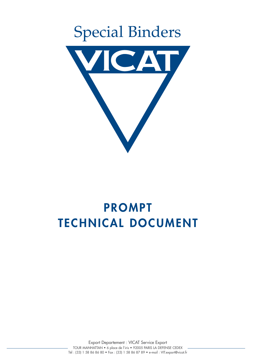

# **PROMPT TECHNICAL DOCUMENT**

Export Departement : VICAT Service Export TOUR MANHATTAN • 6 place de l'iris • 92005 PARIS LA DEFENSE CEDEX Tél : (33) 1 58 86 86 80 • Fax : (33) 1 58 86 87 89 • e-mail : VIT.export@vicat.fr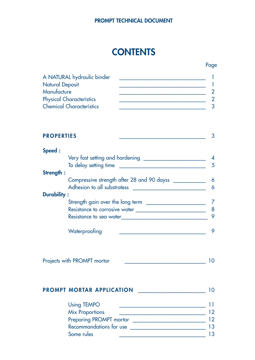# **CONTENTS**

Page

| A NATURAL hydraulic binder      |  |
|---------------------------------|--|
| <b>Natural Deposit</b>          |  |
| Manufacture                     |  |
| <b>Physical Characterístics</b> |  |
| <b>Chemical Characterístics</b> |  |

| <b>PROPERTIES</b> |                                                                           |  |
|-------------------|---------------------------------------------------------------------------|--|
| Speed :           |                                                                           |  |
|                   | Very fast setting and hardening                                           |  |
|                   | To delay setting time                                                     |  |
| Strength :        |                                                                           |  |
|                   | Compressive strength after 28 and 90 dayss<br>Adhesion to all substratess |  |

| <b>Durability:</b>               |  |
|----------------------------------|--|
| Strength gain over the long term |  |
| Resistance to corrosive water    |  |
| Resistance to sea water          |  |
| Waterproofing                    |  |

| Projects with PROMPT mortar |  |  |  |
|-----------------------------|--|--|--|
|-----------------------------|--|--|--|

# **PROMPT MORTAR APPLICATION** \_\_\_\_\_\_\_\_\_\_\_\_\_\_\_\_\_\_\_\_\_\_\_\_\_ 10

| <b>Using TEMPO</b>      |    |
|-------------------------|----|
| <b>Mix Proportions</b>  | 12 |
| Preparing PROMPT mortar | 12 |
| Recommandations for use | 13 |
| Some rules              | 13 |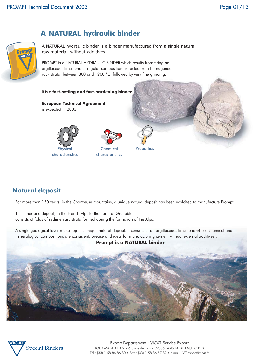

# **A NATURAL hydraulic binder**

A NATURAL hydraulic binder is a binder manufactured from a single natural raw material, without additives.

PROMPT is a NATURAL HYDRAULIC BINDER which results from firing an argillaceous limestone of regular composition extracted from homogeneous rock strata, between 800 and 1200 °C, followed by very fine grinding.

#### It is a **fast-setting and fast-hardening binder**

**European Technical Agreement** is expected in 2003





**Chemical** characteristics



**Properties** 

# **Natural deposit**

For more than 150 years, in the Chartreuse mountains, a unique natural deposit has been exploited to manufacture Prompt.

This limestone deposit, in the French Alps to the north of Grenoble, consists of folds of sedimentary strata formed during the formation of the Alps.

A single geological layer makes up this unique natural deposit. It consists of an argillaceous limestone whose chemical and mineralogical compositions are consistent, precise and ideal for manufacturing cement without external additives :

#### **Prompt is a NATURAL binder**



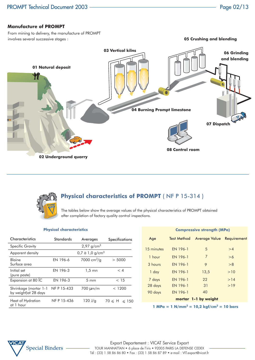#### **Manufacture of PROMPT**

From mining to delivery, the manufacture of PROMPT involves several successive stages :





# **Physical characteristics of PROMPT** ( NF P 15-314 )

The tables below show the average values of the physical characteristics of PROMPT obtained after completion of factory quality control inspections.

#### **Physical characteristics**

| <b>Characteristics</b>                         | <b>Standards</b> | Averages                        | <b>Specifications</b> |
|------------------------------------------------|------------------|---------------------------------|-----------------------|
| <b>Specific Gravity</b>                        |                  | $2,97$ g/cm <sup>3</sup>        |                       |
| Apparent density                               |                  | $0,7$ à $1,0$ g/cm <sup>3</sup> |                       |
| Blaine<br>Surface area                         | EN 196-6         | $7000 \text{ cm}^2/\text{q}$    | > 5000                |
| Initial set<br>(pure paste)                    | EN 196-3         | $1,5 \, \text{mn}$              | < 4                   |
| Expansion at 80 IC                             | EN 196-3         | $5 \text{ mm}$                  | < 15                  |
| Shrinkage (mortar 1-1<br>by weight) at 28 days | NF P 15-433      | 700 μm/m                        | < 1200                |
| Heat of Hydration<br>at 1 hour                 | NF P 15-436      | 120 J/g                         | $70 \leq H \leq 150$  |

| <b>Compressive strength (MPa)</b> |                    |                           |     |
|-----------------------------------|--------------------|---------------------------|-----|
| Age                               | <b>Test Method</b> | Average Value Requirement |     |
| 15 minutes                        | EN 196-1           | 5                         | >4  |
| $1$ hour                          | EN 196-1           | 7                         | >6  |
| 3 hours                           | <b>FN 196-1</b>    | 9                         | > 8 |
| 1 day                             | EN 196-1           | 13,5                      | >10 |
| 7 days                            | EN 196-1           | 22                        | >14 |
| 28 days                           | EN 196-1           | 31                        | >19 |
| 90 days                           | EN 196-1           | 40                        |     |
|                                   |                    | mortar 1-1 by weight      |     |

**1 MPa = 1 N/mm<sup>2</sup> = 10,2 kgf/cm2 = 10 bars**

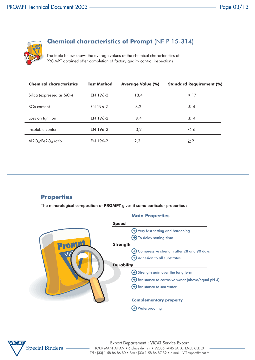

# **Chemical characteristics of Prompt** (NF P 15-314)

The table below shows the average values of the chemical characteristics of PROMPT obtained after completion of factory quality control inspections

| <b>Chemical characteristics</b> | <b>Test Method</b> | <b>Average Value (%)</b> | <b>Standard Requirement (%)</b> |
|---------------------------------|--------------------|--------------------------|---------------------------------|
| Silica (expressed as $SiO2$ )   | EN 196-2           | 18,4                     | >17                             |
| $SO3$ content                   | EN 196-2           | 3,2                      | $\leq$ 4                        |
| Loss on Ignition                | EN 196-2           | 9,4                      | $\leq$ 14                       |
| Insoluble content               | EN 196-2           | 3,2                      | $\leq 6$                        |
| $Al2O3/Fe2O3$ ratio             | EN 196-2           | 2,3                      | > 2                             |

# **Properties**

The mineralogical composition of **PROMPT** gives it some particular properties :

#### **Main Properties**



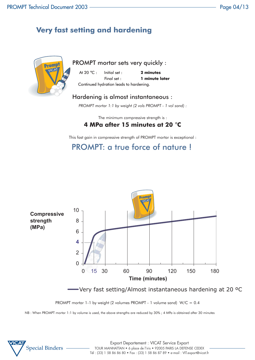# **Very fast setting and hardening**



PROMPT mortar sets very quickly :

 At 20 °C : Initial set : **2 minutes** Final set : **1 minute later** Continued hydration leads to hardening.

# Hardening is almost instantaneous :

*PROMPT mortar 1:1 by weight (2 vols PROMPT - 1 vol sand) :*

The minimum compressive strength is :

# **4 MPa after 15 minutes at 20** °**C**

This fast gain in compressive strength of PROMPT mortar is exceptional :

PROMPT: a true force of nature !



Very fast setting/Almost instantaneous hardening at 20 ºC

PROMPT mortar 1-1 by weight (2 volumes PROMPT - 1 volume sand) W/C = 0.4

NB : When PROMPT mortar 1:1 by volume is used, the above strengths are reduced by 30% ; 4 MPa is obtained after 30 minutes

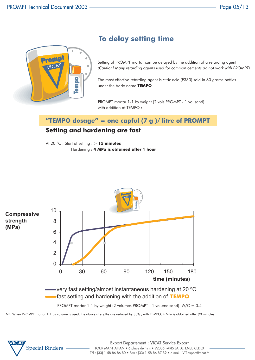

# **To delay setting time**

Setting of PROMPT mortar can be delayed by the addition of a retarding agent *(Caution! Many retarding agents used for common cements do not work with PROMPT)*

The most effective retarding agent is citric acid (E330) sold in 80 grams bottles under the trade name **TEMPO**

PROMPT mortar 1-1 by weight (2 vols PROMPT - 1 vol sand) with addition of TEMPO :

# **"TEMPO dosage" = one capful (7 g )/ litre of PROMPT**

# **Setting and hardening are fast**

At 20 °C : Start of setting : > **15 minutes** Hardening : **4 MPa is obtained after 1 hour**



NB: When PROMPT mortar 1:1 by volume is used, the above strengths are reduced by 30% ; with TEMPO, 4 MPa is obtained after 90 minutes

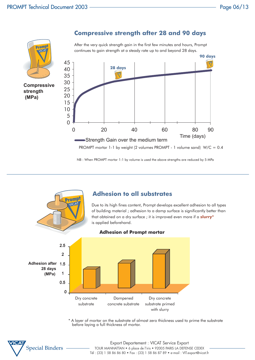

**Compressive strength after 28 and 90 days**

NB : When PROMPT mortar 1:1 by volume is used the above strengths are reduced by 5 MPa



\* A layer of mortar on the substrate of almost zero thickness used to prime the substrate before laying a full thickness of mortar.

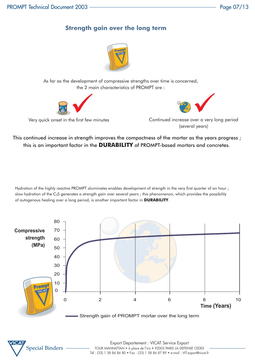# **Strength gain over the long term**



As far as the development of compressive strengths over time is concerned, the 2 main characteristics of PROMPT are :



Very quick onset in the first few minutes

(several years)

This continued increase in strength improves the compactness of the mortar as the years progress ; this is an important factor in the **DURABILITY** of PROMPT-based mortars and concretes.

Hydration of the highly reactive PROMPT aluminates enables development of strength in the very first quarter of an hour ; slow hydration of the C<sub>2</sub>S generates a strength gain over several years; this phenomenon, which provides the possibility of autogenous healing over a long period, is another important factor in **DURABILITY**.



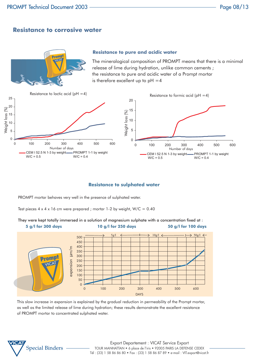# **Resistance to corrosive water**



#### **Resistance to pure and acidic water**

The mineralogical composition of PROMPT means that there is a minimal release of lime during hydration, unlike common cements ; the resistance to pure and acidic water of a Prompt mortar is therefore excellent up to  $pH = 4$ 



#### **Resistance to sulphated water**

PROMPT mortar behaves very well in the presence of sulphated water.

Test pieces  $4 \times 4 \times 16$  cm were prepared ; mortar 1-2 by weight, W/C = 0.40



They were kept totally immersed in a solution of magnesium sulphate with a concentration fixed at :

This slow increase in expansion is explained by the gradual reduction in permeability of the Prompt mortar, as well as the limited release of lime during hydration; these results demonstrate the excellent resistance of PROMPT mortar to concentrated sulphated water.

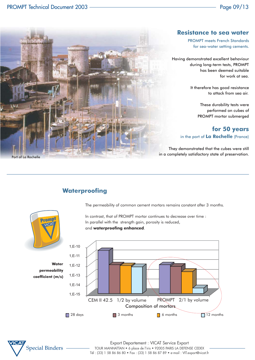

#### **Resistance to sea water**

PROMPT meets French Standards for sea-water setting cements.

Having demonstrated excellent behaviour during long-term tests, PROMPT has been deemed suitable for work at sea.

> It therefore has good resistance to attack from sea air.

> > These durability tests were performed on cubes of PROMPT mortar submerged

## **for 50 years** in the port of **La Rochelle** (France)

They demonstrated that the cubes were still in a completely satisfactory state of preservation.

# **Waterproofing**

The permeability of common cement mortars remains constant after 3 months.



In contrast, that of PROMPT mortar continues to decrease over time : In parallel with the strength gain, porosity is reduced, and **waterproofing enhanced**.



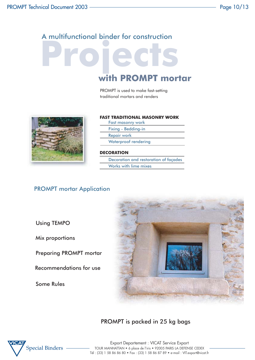# A multifunctional binder for construction

# **Projects with PROMPT mortar**

PROMPT is used to make fast-setting traditional mortars and renders



#### **FAST TRADITIONAL MASONRY WORK**

Fast masonry work Fixing - Bedding-in Repair work

Waterproof rendering

#### **DECORATION**

Decoration and restoration of façades Works with lime mixes

# PROMPT mortar Application

Using TEMPO

Mix proportions

Preparing PROMPT mortar

Recommendations for use

Some Rules



# PROMPT is packed in 25 kg bags

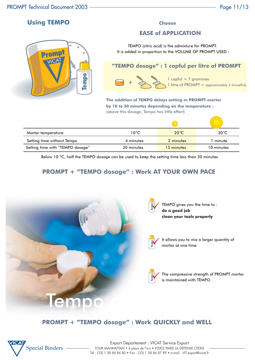# **Using TEMPO**



#### **Choose**

### **EASE of APPLICATION**

TEMPO (citric acid) is the admixture for PROMPT. It is added in proportion to the VOLUME OF PROMPT USED :



**<sup>+</sup>** 1 capful = 7 grammes 1 litre of PROMPT = approximately 2 trowelfuls

**The addition of TEMPO delays setting in PROMPT mortar by 10 to 30 minutes depending on the temperature :** (above this dosage, Tempo has little effect)

| Mortar temperature               | 10°C       | $20^{\circ}$ C | $30^{\circ}$ C |
|----------------------------------|------------|----------------|----------------|
| Setting time without Tempo       | 4 minutes  | 2 minutes      | l minute.      |
| Setting time with "TEMPO dosage" | 30 minutes | 15 minutes     | 10 minutes     |

Below 10 °C, half the TEMPO dosage can be used to keep the setting time less than 30 minutes

# **PROMPT + "TEMPO dosage" : Work AT YOUR OWN PACE**





TEMPO gives you the time to : **do a good job clean your tools properly**



It allows you to mix a larger quantity of mortar at one time



The compressive strength of PROMPT mortar is maintained with TEMPO

# **PROMPT + "TEMPO dosage" : Work QUICKLY and WELL**

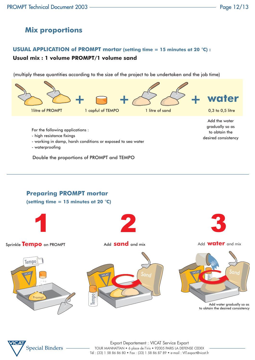# **Mix proportions**

## **USUAL APPLICATION of PROMPT mortar (setting time = 15 minutes at 20** °**C) :**

## **Usual mix : 1 volume PROMPT/1 volume sand**

(multiply these quantities according to the size of the project to be undertaken and the job time)



Double the proportions of PROMPT and TEMPO